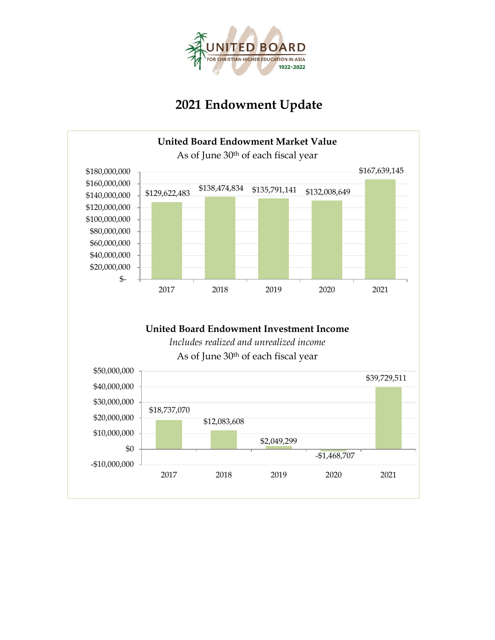

# **2021 Endowment Update**

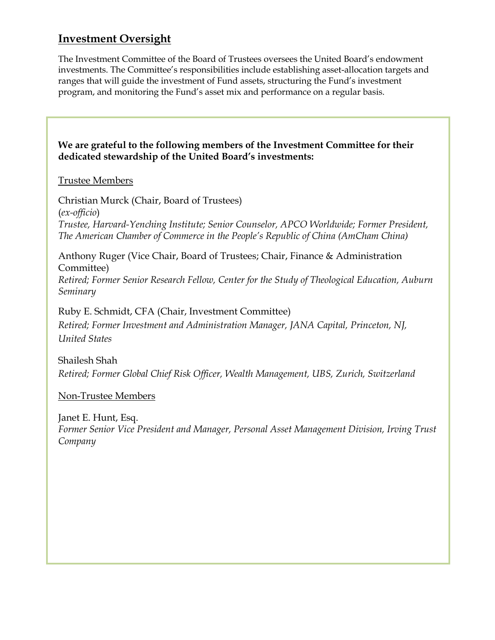## **Investment Oversight**

The Investment Committee of the Board of Trustees oversees the United Board's endowment investments. The Committee's responsibilities include establishing asset-allocation targets and ranges that will guide the investment of Fund assets, structuring the Fund's investment program, and monitoring the Fund's asset mix and performance on a regular basis.

**We are grateful to the following members of the Investment Committee for their dedicated stewardship of the United Board's investments:**

#### Trustee Members

Christian Murck (Chair, Board of Trustees) (*ex-officio*) *Trustee, Harvard-Yenching Institute; Senior Counselor, APCO Worldwide; Former President, The American Chamber of Commerce in the People's Republic of China (AmCham China)*

Anthony Ruger (Vice Chair, Board of Trustees; Chair, Finance & Administration Committee)

*Retired; Former Senior Research Fellow, Center for the Study of Theological Education, Auburn Seminary*

Ruby E. Schmidt, CFA (Chair, Investment Committee) *Retired; Former Investment and Administration Manager, JANA Capital, Princeton, NJ, United States*

Shailesh Shah *Retired; Former Global Chief Risk Officer, Wealth Management, UBS, Zurich, Switzerland*

Non-Trustee Members

Janet E. Hunt, Esq. *Former Senior Vice President and Manager, Personal Asset Management Division, Irving Trust Company*